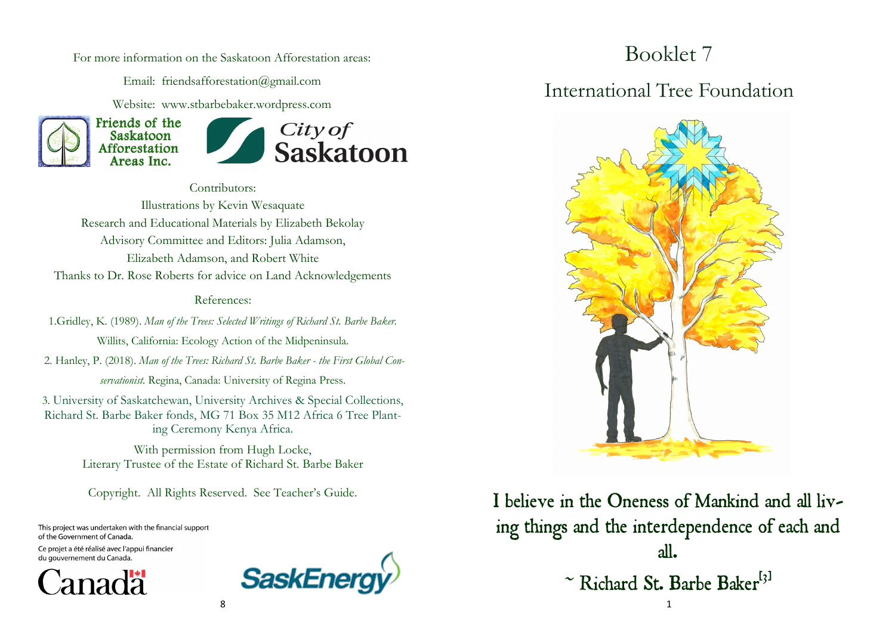For more information on the Saskatoon Afforestation areas:

Email: friendsafforestation@gmail.com

Website: www.stbarbebaker.wordpress.com



Contributors: Illustrations by Kevin Wesaquate Research and Educational Materials by Elizabeth Bekolay Advisory Committee and Editors: Julia Adamson, Elizabeth Adamson, and Robert White Thanks to Dr. Rose Roberts for advice on Land Acknowledgements

#### References:

1.Gridley, K. (1989). *Man of the Trees: Selected Writings of Richard St. Barbe Baker.* 

Willits, California: Ecology Action of the Midpeninsula. 2. Hanley, P. (2018). *Man of the Trees: Richard St. Barbe Baker - the First Global Con-*

*servationist.* Regina, Canada: University of Regina Press.

3. University of Saskatchewan, University Archives & Special Collections, Richard St. Barbe Baker fonds, MG 71 Box 35 M12 Africa 6 Tree Planting Ceremony Kenya Africa.

> With permission from Hugh Locke, Literary Trustee of the Estate of Richard St. Barbe Baker

Copyright. All Rights Reserved. See Teacher's Guide.

This project was undertaken with the financial support of the Government of Canada.

Ce projet a été réalisé avec l'appui financier du gouvernement du Canada.





Booklet 7

#### International Tree Foundation



I believe in the Oneness of Mankind and all living things and the interdependence of each and all. ~ Richard St. Barbe Baker<sup>[3]</sup>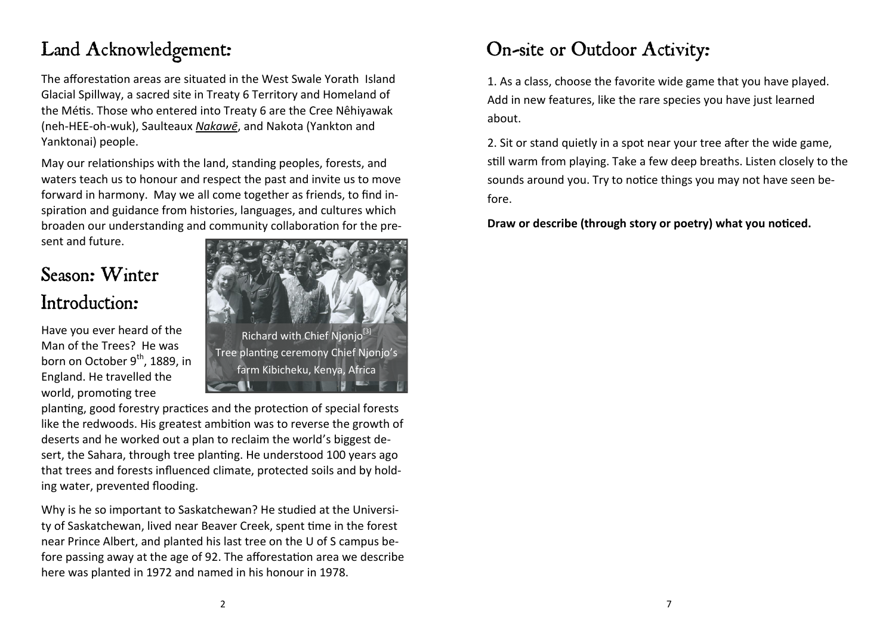## Land Acknowledgement:

The afforestation areas are situated in the West Swale Yorath Island Glacial Spillway, a sacred site in Treaty 6 Territory and Homeland of the Métis. Those who entered into Treaty 6 are the Cree Nêhiyawak (neh-HEE-oh-wuk), Saulteaux *[Nakawē](https://en.wikipedia.org/wiki/Saulteaux)*, and Nakota (Yankton and Yanktonai) people.

May our relationships with the land, standing peoples, forests, and waters teach us to honour and respect the past and invite us to move forward in harmony. May we all come together as friends, to find inspiration and guidance from histories, languages, and cultures which broaden our understanding and community collaboration for the present and future.

# Season: Winter Introduction:

Have you ever heard of the Man of the Trees? He was born on October  $9^{th}$ , 1889, in England. He travelled the world, promoting tree



planting, good forestry practices and the protection of special forests like the redwoods. His greatest ambition was to reverse the growth of deserts and he worked out a plan to reclaim the world's biggest desert, the Sahara, through tree planting. He understood 100 years ago that trees and forests influenced climate, protected soils and by holding water, prevented flooding.

Why is he so important to Saskatchewan? He studied at the University of Saskatchewan, lived near Beaver Creek, spent time in the forest near Prince Albert, and planted his last tree on the U of S campus before passing away at the age of 92. The afforestation area we describe here was planted in 1972 and named in his honour in 1978.

### On-site or Outdoor Activity:

1. As a class, choose the favorite wide game that you have played. Add in new features, like the rare species you have just learned about.

2. Sit or stand quietly in a spot near your tree after the wide game, still warm from playing. Take a few deep breaths. Listen closely to the sounds around you. Try to notice things you may not have seen before.

**Draw or describe (through story or poetry) what you noticed.**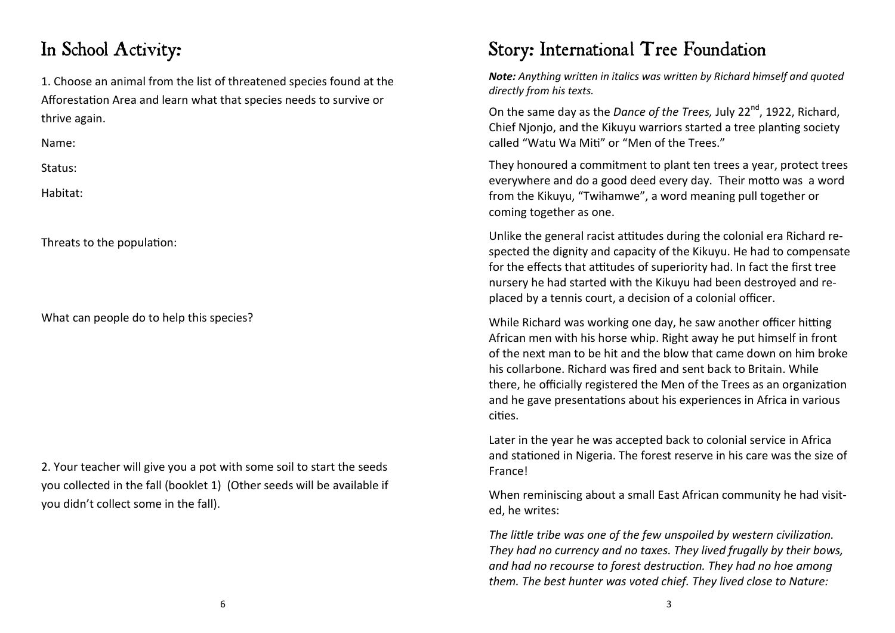#### In School Activity:

1. Choose an animal from the list of threatened species found at the Afforestation Area and learn what that species needs to survive or thrive again.

Name:

Status:

Habitat:

Threats to the population:

What can people do to help this species?

2. Your teacher will give you a pot with some soil to start the seeds you collected in the fall (booklet 1) (Other seeds will be available if you didn't collect some in the fall).

#### Story: International Tree Foundation

*Note: Anything written in italics was written by Richard himself and quoted directly from his texts.* 

On the same day as the *Dance of the Trees*, July 22<sup>nd</sup>, 1922, Richard, Chief Njonjo, and the Kikuyu warriors started a tree planting society called "Watu Wa Miti" or "Men of the Trees."

They honoured a commitment to plant ten trees a year, protect trees everywhere and do a good deed every day. Their motto was a word from the Kikuyu, "Twihamwe", a word meaning pull together or coming together as one.

Unlike the general racist attitudes during the colonial era Richard respected the dignity and capacity of the Kikuyu. He had to compensate for the effects that attitudes of superiority had. In fact the first tree nursery he had started with the Kikuyu had been destroyed and replaced by a tennis court, a decision of a colonial officer.

While Richard was working one day, he saw another officer hitting African men with his horse whip. Right away he put himself in front of the next man to be hit and the blow that came down on him broke his collarbone. Richard was fired and sent back to Britain. While there, he officially registered the Men of the Trees as an organization and he gave presentations about his experiences in Africa in various cities.

Later in the year he was accepted back to colonial service in Africa and stationed in Nigeria. The forest reserve in his care was the size of France!

When reminiscing about a small East African community he had visited, he writes:

*The little tribe was one of the few unspoiled by western civilization. They had no currency and no taxes. They lived frugally by their bows, and had no recourse to forest destruction. They had no hoe among them. The best hunter was voted chief. They lived close to Nature:*